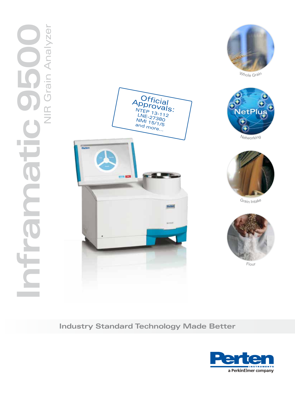



Whole Grain



Netwo<sup>r</sup>king



G<sup>r</sup>ai<sup>n</sup> <sup>I</sup>ntak<sup>e</sup>



Flou<sup>r</sup>

### **Industry Standard Technology Made Better**

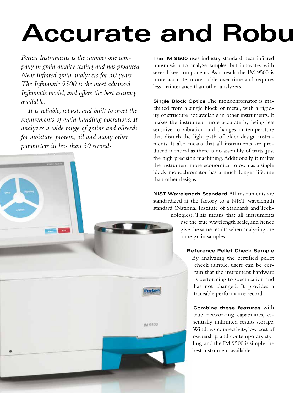## **Accurate and Robu**

*Perten Instruments is the number one company in grain quality testing and has produced Near Infrared grain analyzers for 30 years. The Inframatic 9500 is the most advanced Inframatic model, and offers the best accuracy available.*

*It is reliable, robust, and built to meet the requirements of grain handling operations. It analyzes a wide range of grains and oilseeds for moisture, protein, oil and many other parameters in less than 30 seconds.*



**The IM 9500** uses industry standard near-infrared transmission to analyze samples, but innovates with several key components. As a result the IM 9500 is more accurate, more stable over time and requires less maintenance than other analyzers.

**Single Block Optics** The monochromator is machined from a single block of metal, with a rigidity of structure not available in other instruments. It makes the instrument more accurate by being less sensitive to vibration and changes in temperature that disturb the light path of older design instruments. It also means that all instruments are produced identical as there is no assembly of parts, just the high precision machining. Additionally, it makes the instrument more economical to own as a single block monochromator has a much longer lifetime than other designs.

**NIST Wavelength Standard** All instruments are standardized at the factory to a NIST wavelength standard (National Institute of Standards and Tech-

nologies). This means that all instruments use the true wavelength scale, and hence give the same results when analyzing the same grain samples.

#### **Reference Pellet Check Sample**

By analyzing the certified pellet check sample, users can be certain that the instrument hardware is performing to specification and has not changed. It provides a traceable performance record.

**Combine these features** with true networking capabilities, essentially unlimited results storage, Windows connectivity, low cost of ownership, and contemporary styling, and the IM 9500 is simply the best instrument available.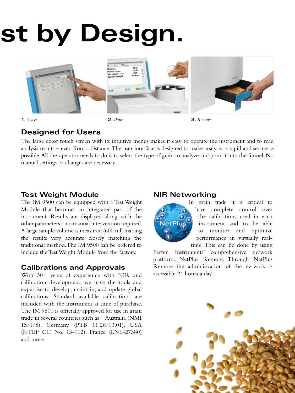# st by Design.



**1.** *Select* **2.** *Pour* **3.** *Remove*

## **Designed for Users**

The large color touch screen with its intuitive menus makes it easy to operate the instrument and to read analysis results – even from a distance. The user interface is designed to make analysis as rapid and secure as possible. All the operator needs to do is to select the type of grain to analyze and pour it into the funnel. No manual settings or changes are necessary.

#### **Test Weight Module**

The IM 9500 can be equipped with a Test Weight Module that becomes an integrated part of the instrument. Results are displayed along with the other parameters – no manual intervention required. A large sample volume is measured (600 ml) making the results very accurate closely matching the traditional method. The IM 9500 can be ordered to include the Test Weight Module from the factory.

#### **Calibrations and Approvals**

With 30+ years of experience with NIR and calibration development, we have the tools and expertise to develop, maintain, and update global calibrations. Standard available calibrations are included with the instrument at time of purchase. The IM 9500 is officially approved for use in grain trade in several countries such as – Australia (NMI 15/1/5), Germany (PTB 11.26/13.01), USA (NTEP CC No. 13-112), France (LNE-27380) and more.

#### **NIR Networking**



In grain trade it is critical to have complete control over the calibrations used in each instrument and to be able to monitor and optimize performance in virtually realtime. This can be done by using

Perten Instruments' comprehensive network platform, NetPlus Remote. Through NetPlus Remote the administration of the network is accessible 24 hours a day.